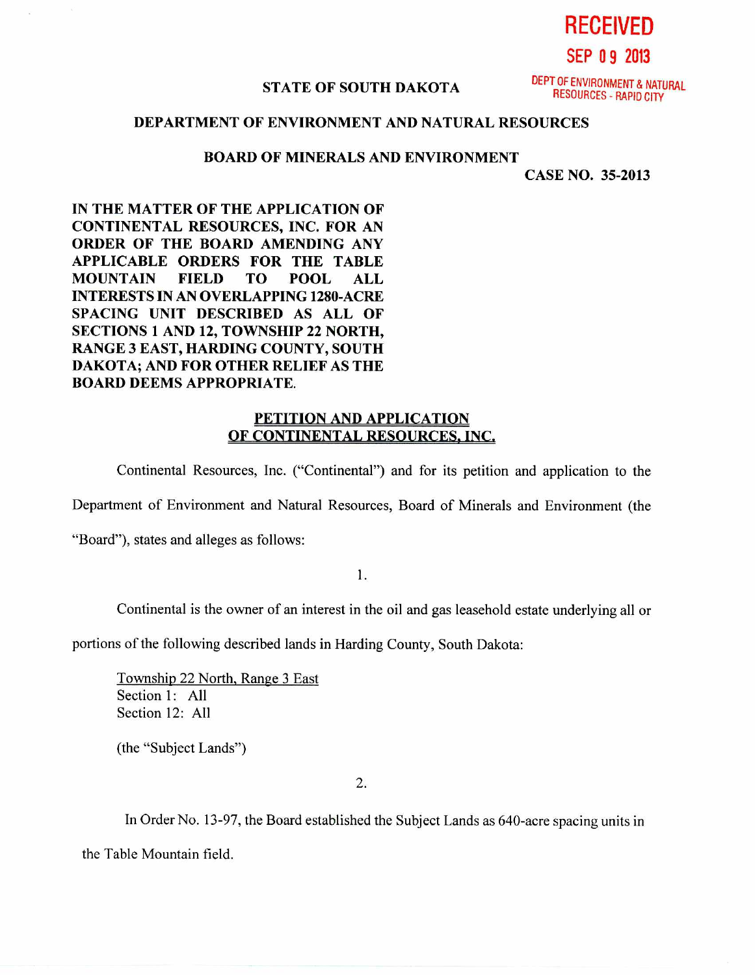**RECEIVED SEP 0 9 2013** 

#### **STATE OF SOUTH DAKOTA**

DEPT OF ENVIRONMENT & NATURAL RESOURCES - RAPID CITY

# **DEPARTMENT OF ENVIRONMENT AND NATURAL RESOURCES**

### **BOARD OF MINERALS AND ENVIRONMENT**

**CASE NO. 35-2013** 

**IN THE MATTER OF THE APPLICATION OF CONTINENTAL RESOURCES, INC. FOR AN ORDER OF THE BOARD AMENDING ANY APPLICABLE ORDERS FOR THE TABLE MOUNTAIN FIELD TO POOL ALL INTERESTS IN AN OVERLAPPING 1280-ACRE SPACING UNIT DESCRIBED AS ALL OF SECTIONS 1 AND 12, TOWNSHIP 22 NORTH, RANGE 3 EAST, HARDING COUNTY, SOUTH DAKOTA; AND FOR OTHER RELIEF AS THE BOARD DEEMS APPROPRIATE.** 

## **PETITION AND APPLICATION OF CONTINENTAL RESOURCES, INC.**

Continental Resources, Inc. ("Continental") and for its petition and application to the

Department of Environment and Natural Resources, Board of Minerals and Environment (the

"Board"), states and alleges as follows:

1.

Continental is the owner of an interest in the oil and gas leasehold estate underlying all or

portions of the following described lands in Harding County, South Dakota:

Township 22 North, Range 3 East Section 1: All Section 12: All

(the "Subject Lands")

2.

In Order No. 13-97, the Board established the Subject Lands as 640-acre spacing units in the Table Mountain field.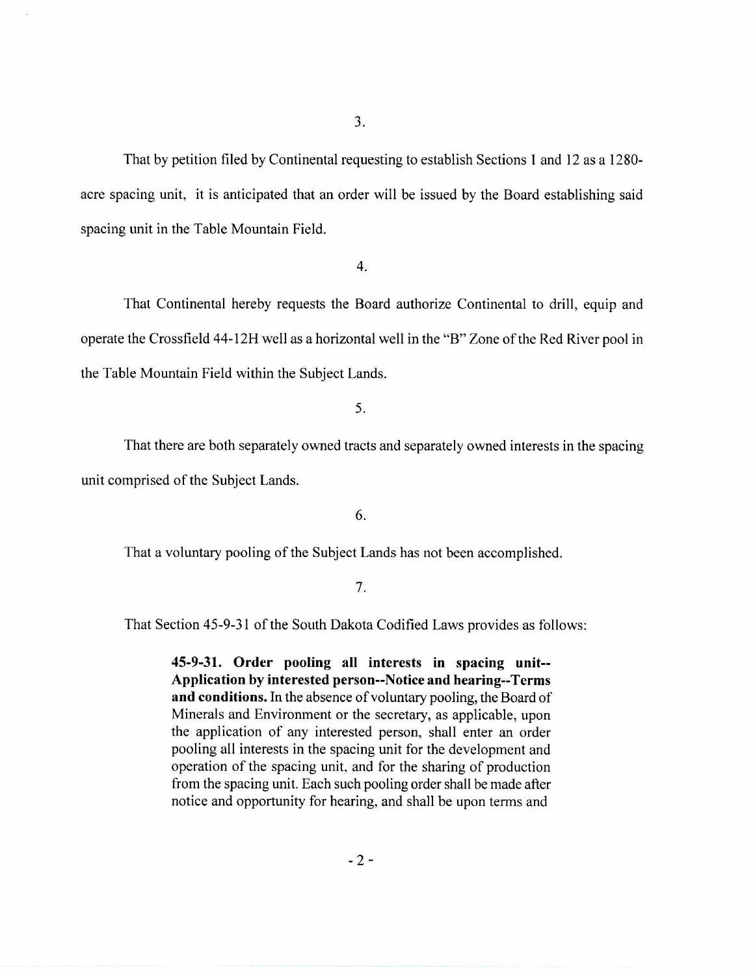That by petition filed by Continental requesting to establish Sections 1 and 12 as a 1280 acre spacing unit, it is anticipated that an order will be issued by the Board establishing said spacing unit in the Table Mountain Field.

4.

That Continental hereby requests the Board authorize Continental to drill, equip and operate the Crossfield 44-12H well as a horizontal well in the "B" Zone of the Red River pool in the Table Mountain Field within the Subject Lands.

5.

That there are both separately owned tracts and separately owned interests in the spacing unit comprised of the Subject Lands.

6.

That a voluntary pooling of the Subject Lands has not been accomplished.

#### 7.

That Section 45-9-31 of the South Dakota Codified Laws provides as follows:

**45-9-31. Order pooling all interests in spacing unit-- Application by interested person--Notice and hearing--Terms and conditions.** In the absence of voluntary pooling, the Board of Minerals and Environment or the secretary, as applicable, upon the application of any interested person, shall enter an order pooling all interests in the spacing unit for the development and operation of the spacing unit, and for the sharing of production from the spacing unit. Each such pooling order shall be made after notice and opportunity for hearing, and shall be upon terms and

 $-2-$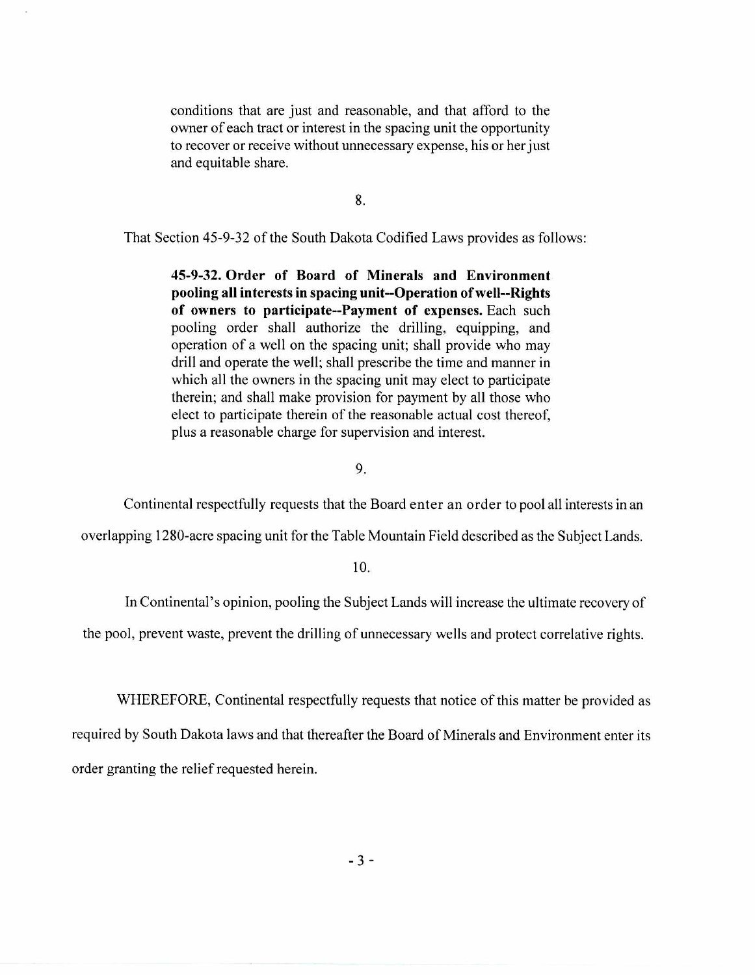conditions that are just and reasonable, and that afford to the owner of each tract or interest in the spacing unit the opportunity to recover or receive without unnecessary expense, his or her just and equitable share.

8.

That Section 45-9-32 of the South Dakota Codified Laws provides as follows:

**45-9-32. Order of Board of Minerals and Environment pooling all interests in spacing unit--Operation of well--Rights of owners to participate--Payment of expenses.** Each such pooling order shall authorize the drilling, equipping, and operation of a well on the spacing unit; shall provide who may drill and operate the well; shall prescribe the time and manner in which all the owners in the spacing unit may elect to participate therein; and shall make provision for payment by all those who elect to participate therein of the reasonable actual cost thereof, plus a reasonable charge for supervision and interest.

9.

Continental respectfully requests that the Board enter an order to pool all interests in an

overlapping 1280-acre spacing unit for the Table Mountain Field described as the Subject Lands.

**10.** 

In Continental's opinion, pooling the Subject Lands will increase the ultimate recovery of

the pool, prevent waste, prevent the drilling of unnecessary wells and protect correlative rights.

WHEREFORE, Continental respectfully requests that notice of this matter be provided as required by South Dakota laws and that thereafter the Board of Minerals and Environment enter its

order granting the relief requested herein.